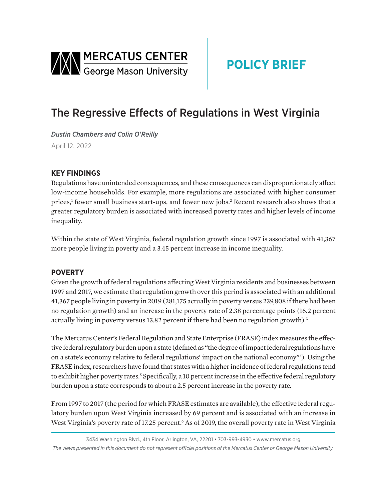<span id="page-0-0"></span>

# **POLICY BRIEF**

## The Regressive Effects of Regulations in West Virginia

*Dustin Chambers and Colin O'Reilly*  April 12, 2022

### **KEY FINDINGS**

Regulations have unintended consequences, and these consequences can disproportionately affect low-income households. For example, more regulations are associated with higher consumer prices,<sup>[1](#page-2-0)</sup> fewer small business start-ups, and fewer new jobs.<sup>[2](#page-2-0)</sup> Recent research also shows that a greater regulatory burden is associated with increased poverty rates and higher levels of income inequality.

Within the state of West Virginia, federal regulation growth since 1997 is associated with 41,367 more people living in poverty and a 3.45 percent increase in income inequality.

#### **POVERTY**

Given the growth of federal regulations affecting West Virginia residents and businesses between 1997 and 2017, we estimate that regulation growth over this period is associated with an additional 41,367 people living in poverty in 2019 (281,175 actually in poverty versus 239,808 if there had been no regulation growth) and an increase in the poverty rate of 2.38 percentage points (16.2 percent actually living in poverty versus 13.82 percent if there had been no regulation growth).<sup>3</sup>

The Mercatus Center's Federal Regulation and State Enterprise (FRASE) index measures the effective federal regulatory burden upon a state (defined as "the degree of impact federal regulations have on a state's economy relative to federal regulations' impact on the national economy["4](#page-2-0) ). Using the FRASE index, researchers have found that states with a higher incidence of federal regulations tend to exhibit higher poverty rates.<sup>5</sup> Specifically, a 10 percent increase in the effective federal regulatory burden upon a state corresponds to about a 2.5 percent increase in the poverty rate.

From 1997 to 2017 (the period for which FRASE estimates are available), the effective federal regulatory burden upon West Virginia increased by 69 percent and is associated with an increase in West Virginia's poverty rate of 17.25 percent.<sup>6</sup> As of 2019, the overall poverty rate in West Virginia

<sup>3434</sup> Washington Blvd., 4th Floor, Arlington, VA, 22201 • 703-993-4930 • www.mercatus.org *The views presented in this document do not represent official positions of the Mercatus Center or George Mason University.*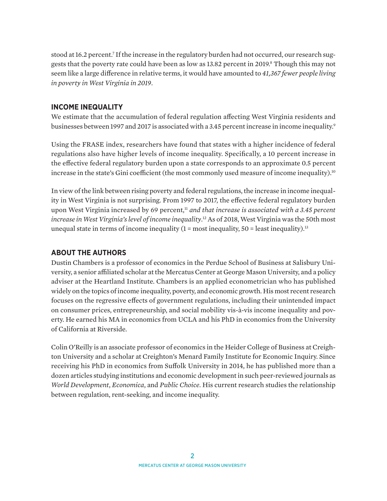<span id="page-1-0"></span>stood at 16.2 percent.<sup>7</sup> If the increase in the regulatory burden had not occurred, our research sug-gests that the poverty rate could have been as low as 13[.8](#page-2-0)2 percent in 2019.<sup>8</sup> Though this may not seem like a large difference in relative terms, it would have amounted to *41,367 fewer people living in poverty in West Virginia in 2019*.

#### **INCOME INEQUALITY**

We estimate that the accumulation of federal regulation affecting West Virginia residents and businesses between 1[9](#page-2-0)97 and 2017 is associated with a 3.45 percent increase in income inequality.<sup>9</sup>

Using the FRASE index, researchers have found that states with a higher incidence of federal regulations also have higher levels of income inequality. Specifically, a 10 percent increase in the effective federal regulatory burden upon a state corresponds to an approximate 0.5 percent increase in the state's Gini coefficient (the most commonly used measure of income inequality).<sup>[10](#page-2-0)</sup>

In view of the link between rising poverty and federal regulations, the increase in income inequality in West Virginia is not surprising. From 1997 to 2017, the effective federal regulatory burden upon West Virginia increased by 69 percent,<sup>11</sup> *and that increase is associated with a 3.45 percent increase in West Virginia's level of income inequality*. [12](#page-2-0) As of 2018, West Virginia was the 50th most unequal state in terms of income inequality  $(1 = \text{most inequality}, 50 = \text{least inequality})$ .<sup>13</sup>

#### **ABOUT THE AUTHORS**

Dustin Chambers is a professor of economics in the Perdue School of Business at Salisbury University, a senior affiliated scholar at the Mercatus Center at George Mason University, and a policy adviser at the Heartland Institute. Chambers is an applied econometrician who has published widely on the topics of income inequality, poverty, and economic growth. His most recent research focuses on the regressive effects of government regulations, including their unintended impact on consumer prices, entrepreneurship, and social mobility vis-à-vis income inequality and poverty. He earned his MA in economics from UCLA and his PhD in economics from the University of California at Riverside.

Colin O'Reilly is an associate professor of economics in the Heider College of Business at Creighton University and a scholar at Creighton's Menard Family Institute for Economic Inquiry. Since receiving his PhD in economics from Suffolk University in 2014, he has published more than a dozen articles studying institutions and economic development in such peer-reviewed journals as *World Development*, *Economica*, and *Public Choice*. His current research studies the relationship between regulation, rent-seeking, and income inequality.